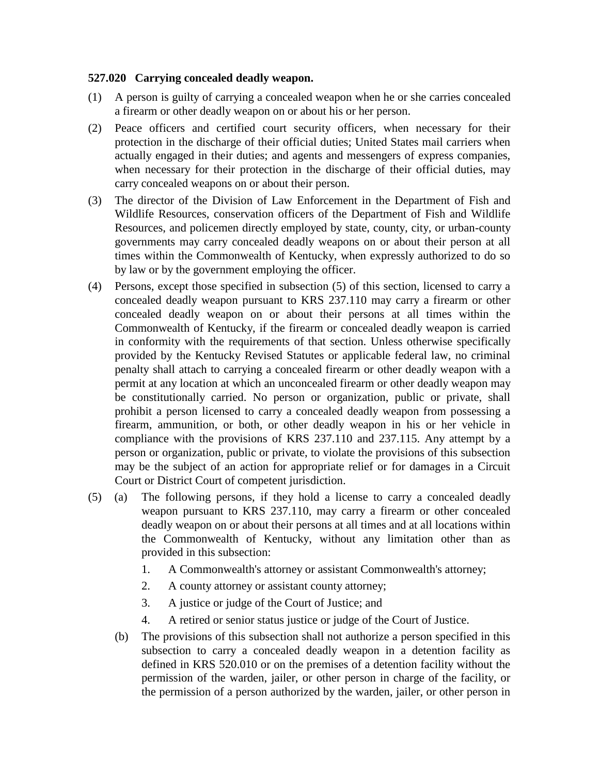## **527.020 Carrying concealed deadly weapon.**

- (1) A person is guilty of carrying a concealed weapon when he or she carries concealed a firearm or other deadly weapon on or about his or her person.
- (2) Peace officers and certified court security officers, when necessary for their protection in the discharge of their official duties; United States mail carriers when actually engaged in their duties; and agents and messengers of express companies, when necessary for their protection in the discharge of their official duties, may carry concealed weapons on or about their person.
- (3) The director of the Division of Law Enforcement in the Department of Fish and Wildlife Resources, conservation officers of the Department of Fish and Wildlife Resources, and policemen directly employed by state, county, city, or urban-county governments may carry concealed deadly weapons on or about their person at all times within the Commonwealth of Kentucky, when expressly authorized to do so by law or by the government employing the officer.
- (4) Persons, except those specified in subsection (5) of this section, licensed to carry a concealed deadly weapon pursuant to KRS 237.110 may carry a firearm or other concealed deadly weapon on or about their persons at all times within the Commonwealth of Kentucky, if the firearm or concealed deadly weapon is carried in conformity with the requirements of that section. Unless otherwise specifically provided by the Kentucky Revised Statutes or applicable federal law, no criminal penalty shall attach to carrying a concealed firearm or other deadly weapon with a permit at any location at which an unconcealed firearm or other deadly weapon may be constitutionally carried. No person or organization, public or private, shall prohibit a person licensed to carry a concealed deadly weapon from possessing a firearm, ammunition, or both, or other deadly weapon in his or her vehicle in compliance with the provisions of KRS 237.110 and 237.115. Any attempt by a person or organization, public or private, to violate the provisions of this subsection may be the subject of an action for appropriate relief or for damages in a Circuit Court or District Court of competent jurisdiction.
- (5) (a) The following persons, if they hold a license to carry a concealed deadly weapon pursuant to KRS 237.110, may carry a firearm or other concealed deadly weapon on or about their persons at all times and at all locations within the Commonwealth of Kentucky, without any limitation other than as provided in this subsection:
	- 1. A Commonwealth's attorney or assistant Commonwealth's attorney;
	- 2. A county attorney or assistant county attorney;
	- 3. A justice or judge of the Court of Justice; and
	- 4. A retired or senior status justice or judge of the Court of Justice.
	- (b) The provisions of this subsection shall not authorize a person specified in this subsection to carry a concealed deadly weapon in a detention facility as defined in KRS 520.010 or on the premises of a detention facility without the permission of the warden, jailer, or other person in charge of the facility, or the permission of a person authorized by the warden, jailer, or other person in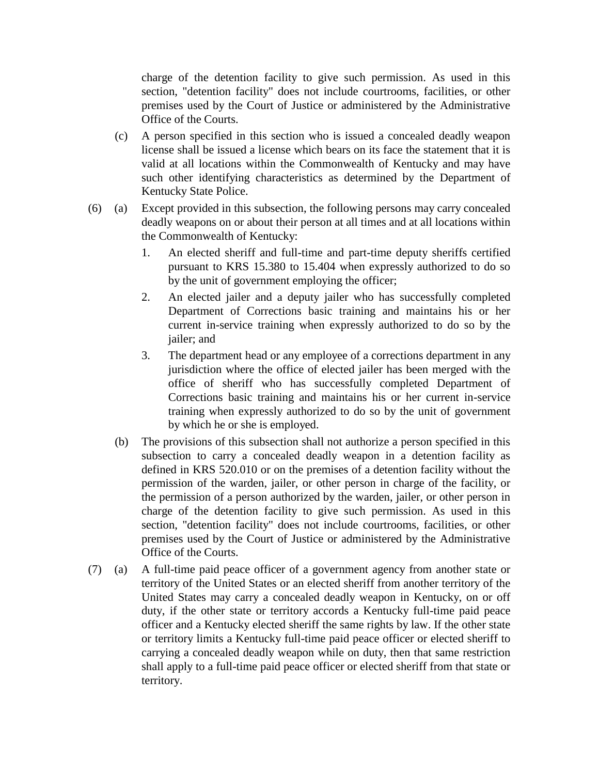charge of the detention facility to give such permission. As used in this section, "detention facility" does not include courtrooms, facilities, or other premises used by the Court of Justice or administered by the Administrative Office of the Courts.

- (c) A person specified in this section who is issued a concealed deadly weapon license shall be issued a license which bears on its face the statement that it is valid at all locations within the Commonwealth of Kentucky and may have such other identifying characteristics as determined by the Department of Kentucky State Police.
- (6) (a) Except provided in this subsection, the following persons may carry concealed deadly weapons on or about their person at all times and at all locations within the Commonwealth of Kentucky:
	- 1. An elected sheriff and full-time and part-time deputy sheriffs certified pursuant to KRS 15.380 to 15.404 when expressly authorized to do so by the unit of government employing the officer;
	- 2. An elected jailer and a deputy jailer who has successfully completed Department of Corrections basic training and maintains his or her current in-service training when expressly authorized to do so by the jailer; and
	- 3. The department head or any employee of a corrections department in any jurisdiction where the office of elected jailer has been merged with the office of sheriff who has successfully completed Department of Corrections basic training and maintains his or her current in-service training when expressly authorized to do so by the unit of government by which he or she is employed.
	- (b) The provisions of this subsection shall not authorize a person specified in this subsection to carry a concealed deadly weapon in a detention facility as defined in KRS 520.010 or on the premises of a detention facility without the permission of the warden, jailer, or other person in charge of the facility, or the permission of a person authorized by the warden, jailer, or other person in charge of the detention facility to give such permission. As used in this section, "detention facility" does not include courtrooms, facilities, or other premises used by the Court of Justice or administered by the Administrative Office of the Courts.
- (7) (a) A full-time paid peace officer of a government agency from another state or territory of the United States or an elected sheriff from another territory of the United States may carry a concealed deadly weapon in Kentucky, on or off duty, if the other state or territory accords a Kentucky full-time paid peace officer and a Kentucky elected sheriff the same rights by law. If the other state or territory limits a Kentucky full-time paid peace officer or elected sheriff to carrying a concealed deadly weapon while on duty, then that same restriction shall apply to a full-time paid peace officer or elected sheriff from that state or territory.